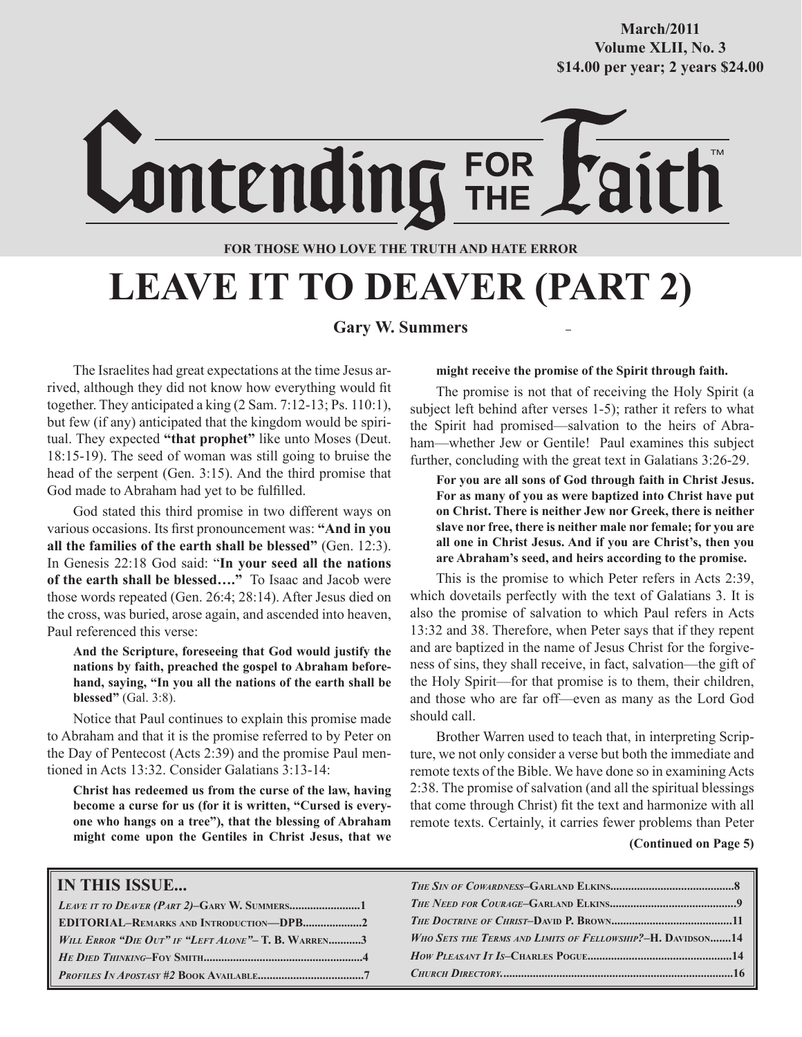#### **October/2007 Volume XLII, No. 3 Volume XXXVIII, No. 10 \$14.00 per year; 2 years \$24.00 \$14.00 per year; 2 years \$24.00 March/2011**

ontending **FOR THOSE WHO LOVE THE TRUTH AND HATE ERROR**

FOR<br>THE

## **LEAVE IT TO DEAVER (PART 2)**

#### **Gary W. Summers**

The Israelites had great expectations at the time Jesus arrived, although they did not know how everything would fit together. They anticipated a king (2 Sam. 7:12-13; Ps. 110:1), but few (if any) anticipated that the kingdom would be spiritual. They expected **"that prophet"** like unto Moses (Deut. 18:15-19). The seed of woman was still going to bruise the head of the serpent (Gen. 3:15). And the third promise that God made to Abraham had yet to be fulfilled.

God stated this third promise in two different ways on various occasions. Its first pronouncement was: **"And in you all the families of the earth shall be blessed"** (Gen. 12:3). In Genesis 22:18 God said: "**In your seed all the nations of the earth shall be blessed…."** To Isaac and Jacob were those words repeated (Gen. 26:4; 28:14). After Jesus died on the cross, was buried, arose again, and ascended into heaven, Paul referenced this verse:

**And the Scripture, foreseeing that God would justify the nations by faith, preached the gospel to Abraham beforehand, saying, "In you all the nations of the earth shall be blessed"** (Gal. 3:8).

Notice that Paul continues to explain this promise made to Abraham and that it is the promise referred to by Peter on the Day of Pentecost (Acts 2:39) and the promise Paul mentioned in Acts 13:32. Consider Galatians 3:13-14:

**Christ has redeemed us from the curse of the law, having become a curse for us (for it is written, "Cursed is everyone who hangs on a tree"), that the blessing of Abraham might come upon the Gentiles in Christ Jesus, that we** 

#### **might receive the promise of the Spirit through faith.**

The promise is not that of receiving the Holy Spirit (a subject left behind after verses 1-5); rather it refers to what the Spirit had promised—salvation to the heirs of Abraham—whether Jew or Gentile! Paul examines this subject further, concluding with the great text in Galatians 3:26-29.

**For you are all sons of God through faith in Christ Jesus. For as many of you as were baptized into Christ have put on Christ. There is neither Jew nor Greek, there is neither slave nor free, there is neither male nor female; for you are all one in Christ Jesus. And if you are Christ's, then you are Abraham's seed, and heirs according to the promise.**

This is the promise to which Peter refers in Acts 2:39, which dovetails perfectly with the text of Galatians 3. It is also the promise of salvation to which Paul refers in Acts 13:32 and 38. Therefore, when Peter says that if they repent and are baptized in the name of Jesus Christ for the forgiveness of sins, they shall receive, in fact, salvation—the gift of the Holy Spirit—for that promise is to them, their children, and those who are far off—even as many as the Lord God should call.

Brother Warren used to teach that, in interpreting Scripture, we not only consider a verse but both the immediate and remote texts of the Bible. We have done so in examining Acts 2:38. The promise of salvation (and all the spiritual blessings that come through Christ) fit the text and harmonize with all remote texts. Certainly, it carries fewer problems than Peter

#### **(Continued on Page 5)**

| <b>IN THIS ISSUE</b>                                |                                                            |
|-----------------------------------------------------|------------------------------------------------------------|
|                                                     |                                                            |
| EDITORIAL-REMARKS AND INTRODUCTION-DPB2             |                                                            |
| WILL ERROR "DIE OUT" IF "LEFT ALONE"- T. B. WARREN3 | WHO SETS THE TERMS AND LIMITS OF FELLOWSHIP?-H. DAVIDSON14 |
|                                                     |                                                            |
|                                                     |                                                            |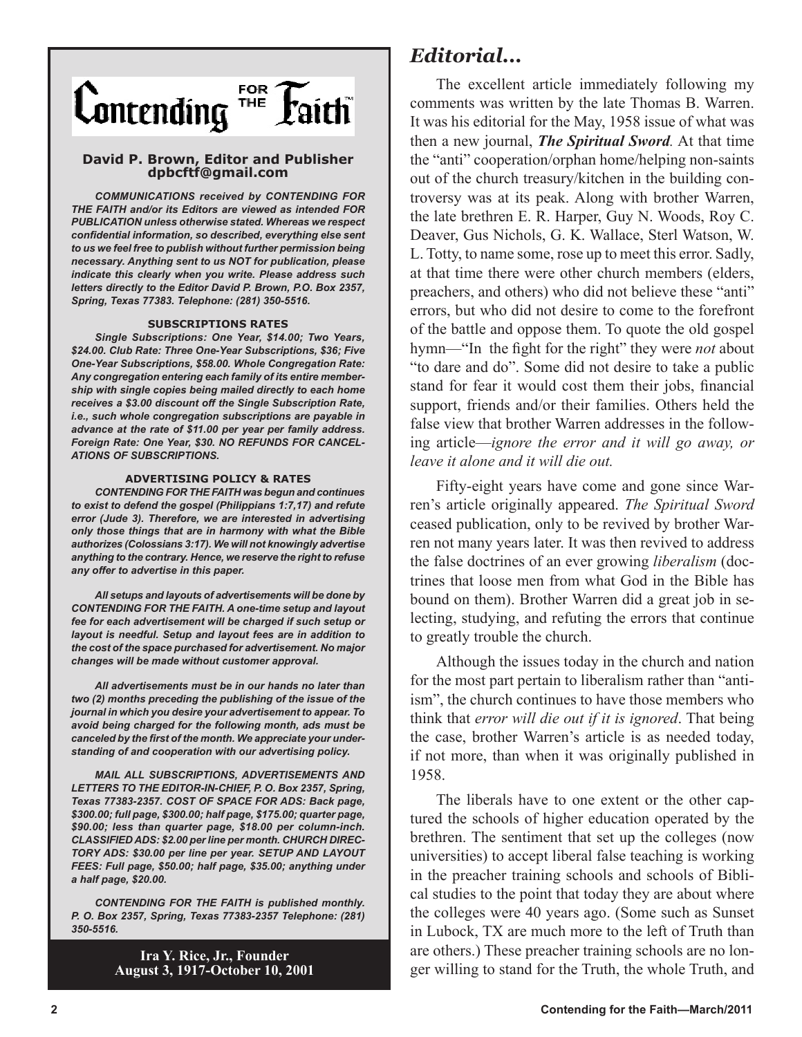

#### **David P. Brown, Editor and Publisher dpbcftf@gmail.com**

*COMMUNICATIONS received by CONTENDING FOR THE FAITH and/or its Editors are viewed as intended FOR PUBLICATION unless otherwise stated. Whereas we respect confidential information, so described, everything else sent to us we feel free to publish without further permission being necessary. Anything sent to us NOT for publication, please indicate this clearly when you write. Please address such letters directly to the Editor David P. Brown, P.O. Box 2357, Spring, Texas 77383. Telephone: (281) 350-5516.*

#### **SUBSCRIPTIONS RATES**

*Single Subscriptions: One Year, \$14.00; Two Years, \$24.00. Club Rate: Three One-Year Subscriptions, \$36; Five One-Year Subscriptions, \$58.00. Whole Congregation Rate: Any congregation entering each family of its entire membership with single copies being mailed directly to each home receives a \$3.00 discount off the Single Subscription Rate, i.e., such whole congregation subscriptions are payable in advance at the rate of \$11.00 per year per family address. Foreign Rate: One Year, \$30. NO REFUNDS FOR CANCEL-ATIONS OF SUBSCRIPTIONS.*

#### **ADVERTISING POLICY & RATES**

*CONTENDING FOR THE FAITH was begun and continues to exist to defend the gospel (Philippians 1:7,17) and refute error (Jude 3). Therefore, we are interested in advertising only those things that are in harmony with what the Bible authorizes (Colossians 3:17). We will not knowingly advertise anything to the contrary. Hence, we reserve the right to refuse any offer to advertise in this paper.*

*All setups and layouts of advertisements will be done by CONTENDING FOR THE FAITH. A one-time setup and layout fee for each advertisement will be charged if such setup or layout is needful. Setup and layout fees are in addition to the cost of the space purchased for advertisement. No major changes will be made without customer approval.*

*All advertisements must be in our hands no later than two (2) months preceding the publishing of the issue of the journal in which you desire your advertisement to appear. To avoid being charged for the following month, ads must be canceled by the first of the month. We appreciate your understanding of and cooperation with our advertising policy.*

*MAIL ALL SUBSCRIPTIONS, ADVERTISEMENTS AND LETTERS TO THE EDITOR-IN-CHIEF, P. O. Box 2357, Spring, Texas 77383-2357. COST OF SPACE FOR ADS: Back page, \$300.00; full page, \$300.00; half page, \$175.00; quarter page, \$90.00; less than quarter page, \$18.00 per column-inch. CLASSIFIED ADS: \$2.00 per line per month. CHURCH DIREC-TORY ADS: \$30.00 per line per year. SETUP AND LAYOUT FEES: Full page, \$50.00; half page, \$35.00; anything under a half page, \$20.00.*

*CONTENDING FOR THE FAITH is published monthly. P. O. Box 2357, Spring, Texas 77383-2357 Telephone: (281) 350-5516.*

> **Ira Y. Rice, Jr., Founder August 3, 1917-October 10, 2001**

#### *Editorial...*

The excellent article immediately following my comments was written by the late Thomas B. Warren. It was his editorial for the May, 1958 issue of what was then a new journal, *The Spiritual Sword.* At that time the "anti" cooperation/orphan home/helping non-saints out of the church treasury/kitchen in the building controversy was at its peak. Along with brother Warren, the late brethren E. R. Harper, Guy N. Woods, Roy C. Deaver, Gus Nichols, G. K. Wallace, Sterl Watson, W. L. Totty, to name some, rose up to meet this error. Sadly, at that time there were other church members (elders, preachers, and others) who did not believe these "anti" errors, but who did not desire to come to the forefront of the battle and oppose them. To quote the old gospel hymn—"In the fight for the right" they were *not* about "to dare and do". Some did not desire to take a public stand for fear it would cost them their jobs, financial support, friends and/or their families. Others held the false view that brother Warren addresses in the following article—*ignore the error and it will go away, or leave it alone and it will die out.*

Fifty-eight years have come and gone since Warren's article originally appeared. *The Spiritual Sword* ceased publication, only to be revived by brother Warren not many years later. It was then revived to address the false doctrines of an ever growing *liberalism* (doctrines that loose men from what God in the Bible has bound on them). Brother Warren did a great job in selecting, studying, and refuting the errors that continue to greatly trouble the church.

Although the issues today in the church and nation for the most part pertain to liberalism rather than "antiism", the church continues to have those members who think that *error will die out if it is ignored*. That being the case, brother Warren's article is as needed today, if not more, than when it was originally published in 1958.

The liberals have to one extent or the other captured the schools of higher education operated by the brethren. The sentiment that set up the colleges (now universities) to accept liberal false teaching is working in the preacher training schools and schools of Biblical studies to the point that today they are about where the colleges were 40 years ago. (Some such as Sunset in Lubock, TX are much more to the left of Truth than are others.) These preacher training schools are no longer willing to stand for the Truth, the whole Truth, and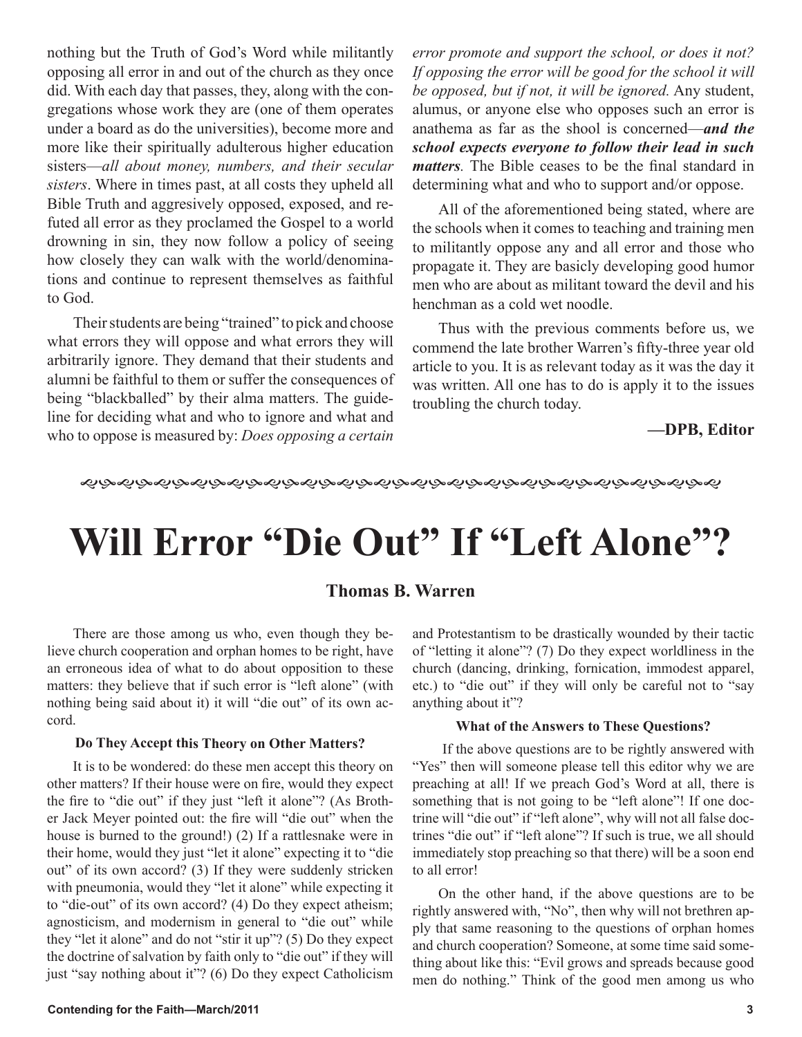nothing but the Truth of God's Word while militantly opposing all error in and out of the church as they once did. With each day that passes, they, along with the congregations whose work they are (one of them operates under a board as do the universities), become more and more like their spiritually adulterous higher education sisters—*all about money, numbers, and their secular sisters*. Where in times past, at all costs they upheld all Bible Truth and aggresively opposed, exposed, and refuted all error as they proclamed the Gospel to a world drowning in sin, they now follow a policy of seeing how closely they can walk with the world/denominations and continue to represent themselves as faithful to God.

Their students are being "trained" to pick and choose what errors they will oppose and what errors they will arbitrarily ignore. They demand that their students and alumni be faithful to them or suffer the consequences of being "blackballed" by their alma matters. The guideline for deciding what and who to ignore and what and who to oppose is measured by: *Does opposing a certain*  *error promote and support the school, or does it not? If opposing the error will be good for the school it will be opposed, but if not, it will be ignored.* Any student, alumus, or anyone else who opposes such an error is anathema as far as the shool is concerned—*and the school expects everyone to follow their lead in such matters.* The Bible ceases to be the final standard in determining what and who to support and/or oppose.

All of the aforementioned being stated, where are the schools when it comes to teaching and training men to militantly oppose any and all error and those who propagate it. They are basicly developing good humor men who are about as militant toward the devil and his henchman as a cold wet noodle.

Thus with the previous comments before us, we commend the late brother Warren's fifty-three year old article to you. It is as relevant today as it was the day it was written. All one has to do is apply it to the issues troubling the church today.

#### **—DPB, Editor**

#### ෯෯෯෯෯෯෯෯෯෯෯෯෯෯෯෯෯෯෯෯෯෯෯෯෯෯෯෯෯෯෯෯෯෯

## **Will Error "Die Out" If "Left Alone"?**

#### **Thomas B. Warren**

There are those among us who, even though they believe church cooperation and orphan homes to be right, have an erroneous idea of what to do about opposition to these matters: they believe that if such error is "left alone" (with nothing being said about it) it will "die out" of its own accord.

#### **Do They Accept this Theory on Other Matters?**

It is to be wondered: do these men accept this theory on other matters? If their house were on fire, would they expect the fire to "die out" if they just "left it alone"? (As Brother Jack Meyer pointed out: the fire will "die out" when the house is burned to the ground!) (2) If a rattlesnake were in their home, would they just "let it alone" expecting it to "die out" of its own accord? (3) If they were suddenly stricken with pneumonia, would they "let it alone" while expecting it to "die-out" of its own accord? (4) Do they expect atheism; agnosticism, and modernism in general to "die out" while they "let it alone" and do not "stir it up"? (5) Do they expect the doctrine of salvation by faith only to "die out" if they will just "say nothing about it"? (6) Do they expect Catholicism

and Protestantism to be drastically wounded by their tactic of "letting it alone"? (7) Do they expect worldliness in the church (dancing, drinking, fornication, immodest apparel, etc.) to "die out" if they will only be careful not to "say anything about it"?

#### **What of the Answers to These Questions?**

 If the above questions are to be rightly answered with "Yes" then will someone please tell this editor why we are preaching at all! If we preach God's Word at all, there is something that is not going to be "left alone"! If one doctrine will "die out" if "left alone", why will not all false doctrines "die out" if "left alone"? If such is true, we all should immediately stop preaching so that there) will be a soon end to all error!

On the other hand, if the above questions are to be rightly answered with, "No", then why will not brethren apply that same reasoning to the questions of orphan homes and church cooperation? Someone, at some time said something about like this: "Evil grows and spreads because good men do nothing." Think of the good men among us who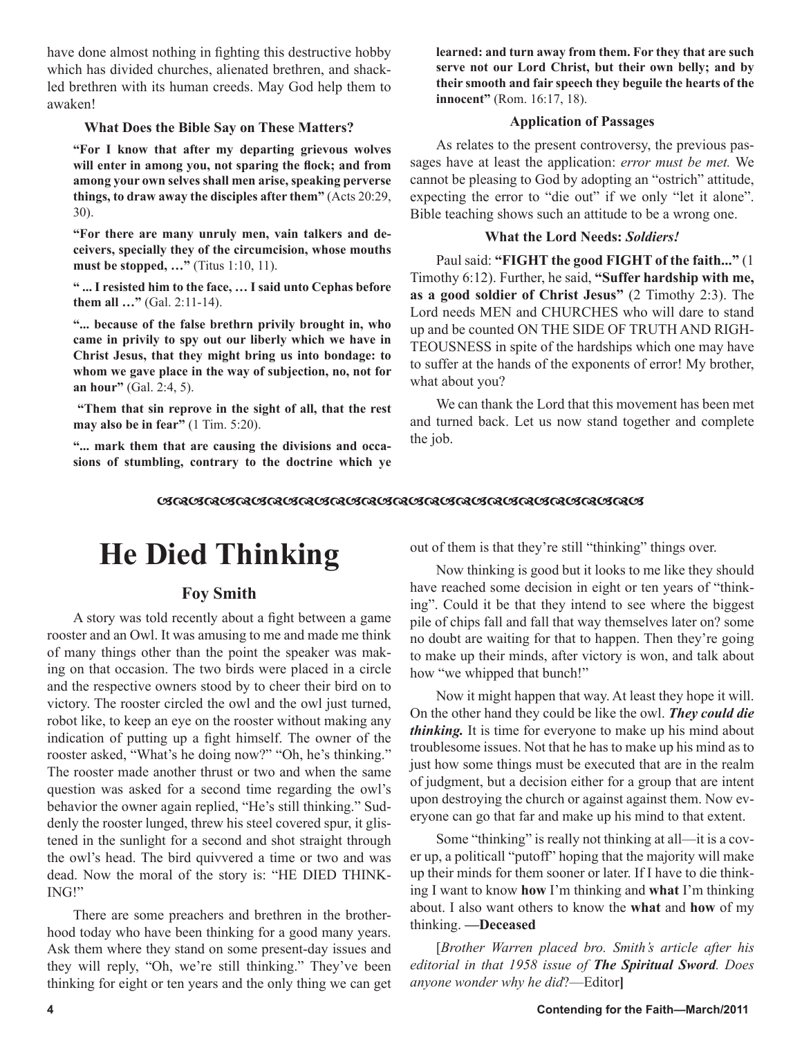have done almost nothing in fighting this destructive hobby which has divided churches, alienated brethren, and shackled brethren with its human creeds. May God help them to awaken!

#### **What Does the Bible Say on These Matters?**

**"For I know that after my departing grievous wolves will enter in among you, not sparing the flock; and from among your own selves shall men arise, speaking perverse things, to draw away the disciples after them"** (Acts 20:29, 30).

**"For there are many unruly men, vain talkers and deceivers, specially they of the circumcision, whose mouths must be stopped, ...**" (Titus 1:10, 11).

**" ... I resisted him to the face, … I said unto Cephas before them all …"** (Gal. 2:11-14).

**"... because of the false brethrn privily brought in, who came in privily to spy out our liberly which we have in Christ Jesus, that they might bring us into bondage: to whom we gave place in the way of subjection, no, not for an hour"** (Gal. 2:4, 5).

 **"Them that sin reprove in the sight of all, that the rest may also be in fear**" (1 Tim. 5:20).

**"... mark them that are causing the divisions and occasions of stumbling, contrary to the doctrine which ye**  **learned: and turn away from them. For they that are such serve not our Lord Christ, but their own belly; and by their smooth and fair speech they beguile the hearts of the innocent"** (Rom. 16:17, 18).

#### **Application of Passages**

As relates to the present controversy, the previous passages have at least the application: *error must be met.* We cannot be pleasing to God by adopting an "ostrich" attitude, expecting the error to "die out" if we only "let it alone". Bible teaching shows such an attitude to be a wrong one.

#### **What the Lord Needs:** *Soldiers!*

Paul said: **"FIGHT the good FIGHT of the faith..."** (1 Timothy 6:12). Further, he said, **"Suffer hardship with me, as a good soldier of Christ Jesus"** (2 Timothy 2:3). The Lord needs MEN and CHURCHES who will dare to stand up and be counted ON THE SIDE OF TRUTH AND RIGH-TEOUSNESS in spite of the hardships which one may have to suffer at the hands of the exponents of error! My brother, what about you?

We can thank the Lord that this movement has been met and turned back. Let us now stand together and complete the job.

#### 

## **He Died Thinking**

#### **Foy Smith**

A story was told recently about a fight between a game rooster and an Owl. It was amusing to me and made me think of many things other than the point the speaker was making on that occasion. The two birds were placed in a circle and the respective owners stood by to cheer their bird on to victory. The rooster circled the owl and the owl just turned, robot like, to keep an eye on the rooster without making any indication of putting up a fight himself. The owner of the rooster asked, "What's he doing now?" "Oh, he's thinking." The rooster made another thrust or two and when the same question was asked for a second time regarding the owl's behavior the owner again replied, "He's still thinking." Suddenly the rooster lunged, threw his steel covered spur, it glistened in the sunlight for a second and shot straight through the owl's head. The bird quivvered a time or two and was dead. Now the moral of the story is: "HE DIED THINK-ING!"

There are some preachers and brethren in the brotherhood today who have been thinking for a good many years. Ask them where they stand on some present-day issues and they will reply, "Oh, we're still thinking." They've been thinking for eight or ten years and the only thing we can get out of them is that they're still "thinking" things over.

Now thinking is good but it looks to me like they should have reached some decision in eight or ten years of "thinking". Could it be that they intend to see where the biggest pile of chips fall and fall that way themselves later on? some no doubt are waiting for that to happen. Then they're going to make up their minds, after victory is won, and talk about how "we whipped that bunch!"

Now it might happen that way. At least they hope it will. On the other hand they could be like the owl. *They could die thinking*. It is time for everyone to make up his mind about troublesome issues. Not that he has to make up his mind as to just how some things must be executed that are in the realm of judgment, but a decision either for a group that are intent upon destroying the church or against against them. Now everyone can go that far and make up his mind to that extent.

Some "thinking" is really not thinking at all—it is a cover up, a politicall "putoff" hoping that the majority will make up their minds for them sooner or later. If I have to die thinking I want to know **how** I'm thinking and **what** I'm thinking about. I also want others to know the **what** and **how** of my thinking. **—Deceased**

[*Brother Warren placed bro. Smith's article after his editorial in that 1958 issue of The Spiritual Sword. Does anyone wonder why he did*?—Editor**]**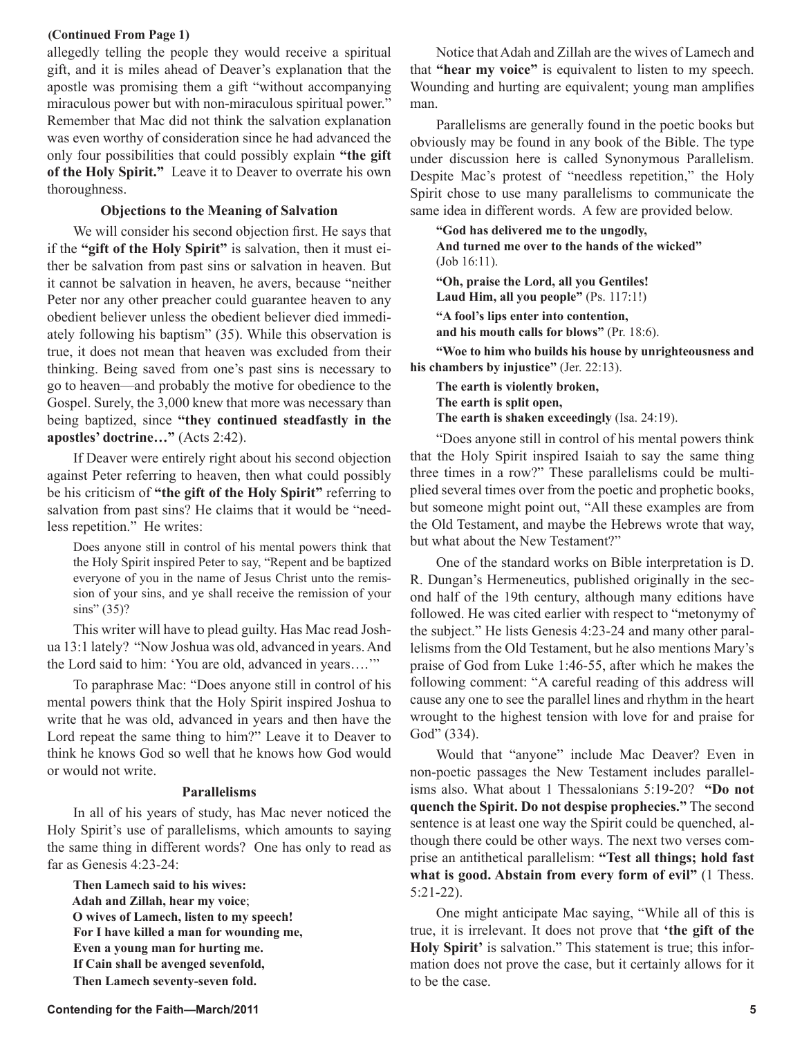#### **(Continued From Page 1)**

allegedly telling the people they would receive a spiritual gift, and it is miles ahead of Deaver's explanation that the apostle was promising them a gift "without accompanying miraculous power but with non-miraculous spiritual power." Remember that Mac did not think the salvation explanation was even worthy of consideration since he had advanced the only four possibilities that could possibly explain **"the gift of the Holy Spirit."** Leave it to Deaver to overrate his own thoroughness.

#### **Objections to the Meaning of Salvation**

We will consider his second objection first. He says that if the **"gift of the Holy Spirit"** is salvation, then it must either be salvation from past sins or salvation in heaven. But it cannot be salvation in heaven, he avers, because "neither Peter nor any other preacher could guarantee heaven to any obedient believer unless the obedient believer died immediately following his baptism" (35). While this observation is true, it does not mean that heaven was excluded from their thinking. Being saved from one's past sins is necessary to go to heaven—and probably the motive for obedience to the Gospel. Surely, the 3,000 knew that more was necessary than being baptized, since **"they continued steadfastly in the apostles' doctrine…"** (Acts 2:42).

If Deaver were entirely right about his second objection against Peter referring to heaven, then what could possibly be his criticism of **"the gift of the Holy Spirit"** referring to salvation from past sins? He claims that it would be "needless repetition." He writes:

Does anyone still in control of his mental powers think that the Holy Spirit inspired Peter to say, "Repent and be baptized everyone of you in the name of Jesus Christ unto the remission of your sins, and ye shall receive the remission of your sins" (35)?

This writer will have to plead guilty. Has Mac read Joshua 13:1 lately? "Now Joshua was old, advanced in years. And the Lord said to him: 'You are old, advanced in years….'"

To paraphrase Mac: "Does anyone still in control of his mental powers think that the Holy Spirit inspired Joshua to write that he was old, advanced in years and then have the Lord repeat the same thing to him?" Leave it to Deaver to think he knows God so well that he knows how God would or would not write.

#### **Parallelisms**

In all of his years of study, has Mac never noticed the Holy Spirit's use of parallelisms, which amounts to saying the same thing in different words? One has only to read as far as Genesis 4:23-24:

**Then Lamech said to his wives: Adah and Zillah, hear my voice**;  **O wives of Lamech, listen to my speech! For I have killed a man for wounding me, Even a young man for hurting me. If Cain shall be avenged sevenfold, Then Lamech seventy-seven fold.**

Notice that Adah and Zillah are the wives of Lamech and that **"hear my voice"** is equivalent to listen to my speech. Wounding and hurting are equivalent; young man amplifies man.

Parallelisms are generally found in the poetic books but obviously may be found in any book of the Bible. The type under discussion here is called Synonymous Parallelism. Despite Mac's protest of "needless repetition," the Holy Spirit chose to use many parallelisms to communicate the same idea in different words. A few are provided below.

**"God has delivered me to the ungodly, And turned me over to the hands of the wicked"** (Job 16:11). **"Oh, praise the Lord, all you Gentiles! Laud Him, all you people"** (Ps. 117:1!) **"A fool's lips enter into contention, and his mouth calls for blows"** (Pr. 18:6).

**"Woe to him who builds his house by unrighteousness and his chambers by injustice"** (Jer. 22:13).

**The earth is violently broken, The earth is split open, The earth is shaken exceedingly** (Isa. 24:19).

"Does anyone still in control of his mental powers think that the Holy Spirit inspired Isaiah to say the same thing three times in a row?" These parallelisms could be multiplied several times over from the poetic and prophetic books, but someone might point out, "All these examples are from the Old Testament, and maybe the Hebrews wrote that way, but what about the New Testament?"

One of the standard works on Bible interpretation is D. R. Dungan's Hermeneutics, published originally in the second half of the 19th century, although many editions have followed. He was cited earlier with respect to "metonymy of the subject." He lists Genesis 4:23-24 and many other parallelisms from the Old Testament, but he also mentions Mary's praise of God from Luke 1:46-55, after which he makes the following comment: "A careful reading of this address will cause any one to see the parallel lines and rhythm in the heart wrought to the highest tension with love for and praise for God" (334).

Would that "anyone" include Mac Deaver? Even in non-poetic passages the New Testament includes parallelisms also. What about 1 Thessalonians 5:19-20? **"Do not quench the Spirit. Do not despise prophecies."** The second sentence is at least one way the Spirit could be quenched, although there could be other ways. The next two verses comprise an antithetical parallelism: **"Test all things; hold fast what is good. Abstain from every form of evil"** (1 Thess. 5:21-22).

One might anticipate Mac saying, "While all of this is true, it is irrelevant. It does not prove that **'the gift of the Holy Spirit'** is salvation." This statement is true; this information does not prove the case, but it certainly allows for it to be the case.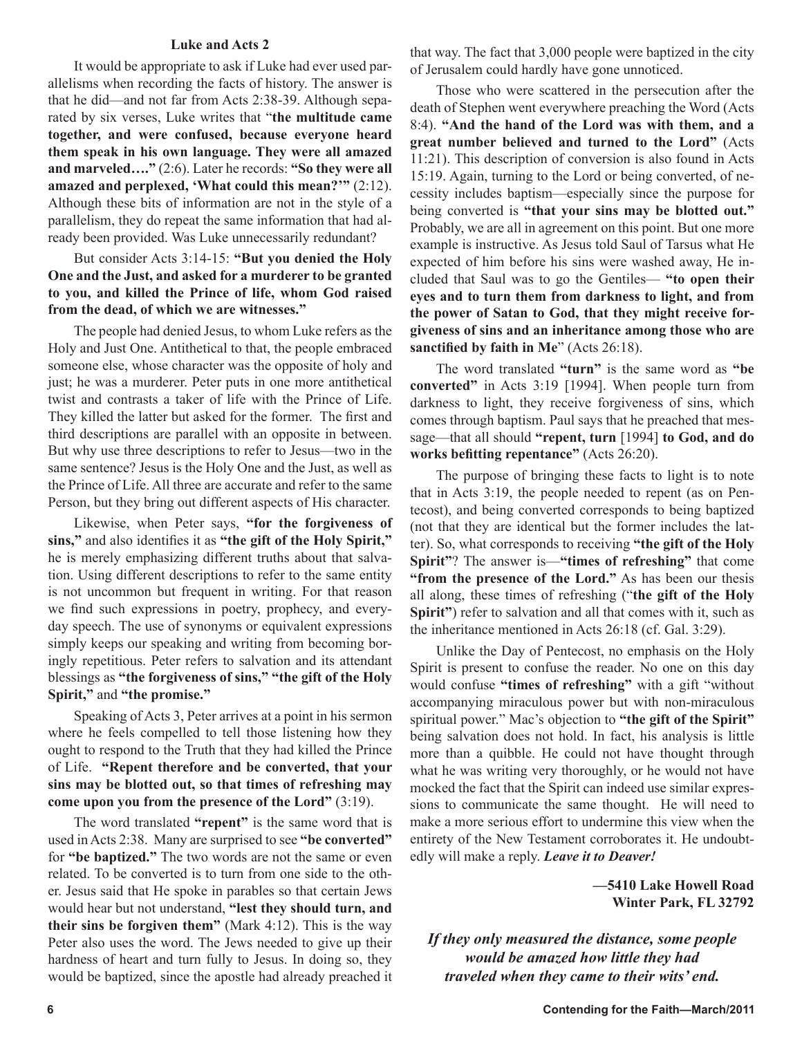#### **Luke and Acts 2**

It would be appropriate to ask if Luke had ever used parallelisms when recording the facts of history. The answer is that he did—and not far from Acts 2:38-39. Although separated by six verses, Luke writes that "**the multitude came together, and were confused, because everyone heard them speak in his own language. They were all amazed and marveled…."** (2:6). Later he records: **"So they were all amazed and perplexed, 'What could this mean?'"** (2:12). Although these bits of information are not in the style of a parallelism, they do repeat the same information that had already been provided. Was Luke unnecessarily redundant?

#### But consider Acts 3:14-15: **"But you denied the Holy One and the Just, and asked for a murderer to be granted to you, and killed the Prince of life, whom God raised from the dead, of which we are witnesses."**

The people had denied Jesus, to whom Luke refers as the Holy and Just One. Antithetical to that, the people embraced someone else, whose character was the opposite of holy and just; he was a murderer. Peter puts in one more antithetical twist and contrasts a taker of life with the Prince of Life. They killed the latter but asked for the former. The first and third descriptions are parallel with an opposite in between. But why use three descriptions to refer to Jesus—two in the same sentence? Jesus is the Holy One and the Just, as well as the Prince of Life. All three are accurate and refer to the same Person, but they bring out different aspects of His character.

Likewise, when Peter says, **"for the forgiveness of sins,"** and also identifies it as **"the gift of the Holy Spirit,"** he is merely emphasizing different truths about that salvation. Using different descriptions to refer to the same entity is not uncommon but frequent in writing. For that reason we find such expressions in poetry, prophecy, and everyday speech. The use of synonyms or equivalent expressions simply keeps our speaking and writing from becoming boringly repetitious. Peter refers to salvation and its attendant blessings as **"the forgiveness of sins," "the gift of the Holy Spirit,"** and **"the promise."**

Speaking of Acts 3, Peter arrives at a point in his sermon where he feels compelled to tell those listening how they ought to respond to the Truth that they had killed the Prince of Life. **"Repent therefore and be converted, that your sins may be blotted out, so that times of refreshing may come upon you from the presence of the Lord"** (3:19).

The word translated **"repent"** is the same word that is used in Acts 2:38. Many are surprised to see **"be converted"** for **"be baptized."** The two words are not the same or even related. To be converted is to turn from one side to the other. Jesus said that He spoke in parables so that certain Jews would hear but not understand, **"lest they should turn, and their sins be forgiven them"** (Mark 4:12). This is the way Peter also uses the word. The Jews needed to give up their hardness of heart and turn fully to Jesus. In doing so, they would be baptized, since the apostle had already preached it that way. The fact that 3,000 people were baptized in the city of Jerusalem could hardly have gone unnoticed.

Those who were scattered in the persecution after the death of Stephen went everywhere preaching the Word (Acts 8:4). **"And the hand of the Lord was with them, and a great number believed and turned to the Lord"** (Acts 11:21). This description of conversion is also found in Acts 15:19. Again, turning to the Lord or being converted, of necessity includes baptism—especially since the purpose for being converted is **"that your sins may be blotted out."** Probably, we are all in agreement on this point. But one more example is instructive. As Jesus told Saul of Tarsus what He expected of him before his sins were washed away, He included that Saul was to go the Gentiles— **"to open their eyes and to turn them from darkness to light, and from the power of Satan to God, that they might receive forgiveness of sins and an inheritance among those who are sanctified by faith in Me**" (Acts 26:18).

The word translated **"turn"** is the same word as **"be converted"** in Acts 3:19 [1994]. When people turn from darkness to light, they receive forgiveness of sins, which comes through baptism. Paul says that he preached that message—that all should **"repent, turn** [1994] **to God, and do works befitting repentance"** (Acts 26:20).

The purpose of bringing these facts to light is to note that in Acts 3:19, the people needed to repent (as on Pentecost), and being converted corresponds to being baptized (not that they are identical but the former includes the latter). So, what corresponds to receiving **"the gift of the Holy Spirit"**? The answer is—**"times of refreshing"** that come **"from the presence of the Lord."** As has been our thesis all along, these times of refreshing ("**the gift of the Holy Spirit"**) refer to salvation and all that comes with it, such as the inheritance mentioned in Acts 26:18 (cf. Gal. 3:29).

Unlike the Day of Pentecost, no emphasis on the Holy Spirit is present to confuse the reader. No one on this day would confuse **"times of refreshing"** with a gift "without accompanying miraculous power but with non-miraculous spiritual power." Mac's objection to **"the gift of the Spirit"** being salvation does not hold. In fact, his analysis is little more than a quibble. He could not have thought through what he was writing very thoroughly, or he would not have mocked the fact that the Spirit can indeed use similar expressions to communicate the same thought. He will need to make a more serious effort to undermine this view when the entirety of the New Testament corroborates it. He undoubtedly will make a reply. *Leave it to Deaver!* 

> **—5410 Lake Howell Road Winter Park, FL 32792**

*If they only measured the distance, some people would be amazed how little they had traveled when they came to their wits' end.*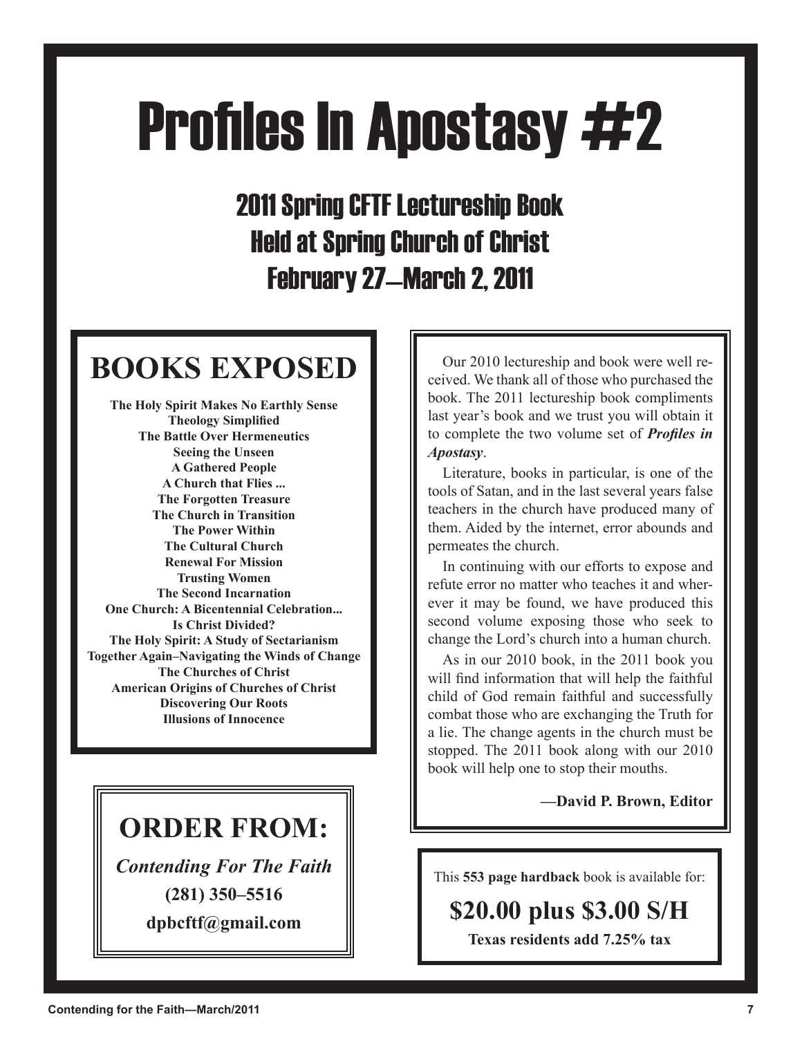# **Profiles In Apostasy #2**

2011 Spring CFTF Lectureship Book Held at Spring Church of Christ February 27—March 2, 2011

## **BOOKS EXPOSED**

**The Holy Spirit Makes No Earthly Sense Theology Simplified The Battle Over Hermeneutics Seeing the Unseen A Gathered People A Church that Flies ... The Forgotten Treasure The Church in Transition The Power Within The Cultural Church Renewal For Mission Trusting Women The Second Incarnation One Church: A Bicentennial Celebration... Is Christ Divided? The Holy Spirit: A Study of Sectarianism Together Again–Navigating the Winds of Change The Churches of Christ American Origins of Churches of Christ Discovering Our Roots Illusions of Innocence**

### **ORDER FROM:**

*Contending For The Faith* **(281) 350–5516**

**dpbcftf@gmail.com**

Our 2010 lectureship and book were well received. We thank all of those who purchased the book. The 2011 lectureship book compliments last year's book and we trust you will obtain it to complete the two volume set of *Profiles in Apostasy*.

Literature, books in particular, is one of the tools of Satan, and in the last several years false teachers in the church have produced many of them. Aided by the internet, error abounds and permeates the church.

In continuing with our efforts to expose and refute error no matter who teaches it and wherever it may be found, we have produced this second volume exposing those who seek to change the Lord's church into a human church.

As in our 2010 book, in the 2011 book you will find information that will help the faithful child of God remain faithful and successfully combat those who are exchanging the Truth for a lie. The change agents in the church must be stopped. The 2011 book along with our 2010 book will help one to stop their mouths.

**—David P. Brown, Editor**

This **553 page hardback** book is available for:

### **\$20.00 plus \$3.00 S/H**

**Texas residents add 7.25% tax**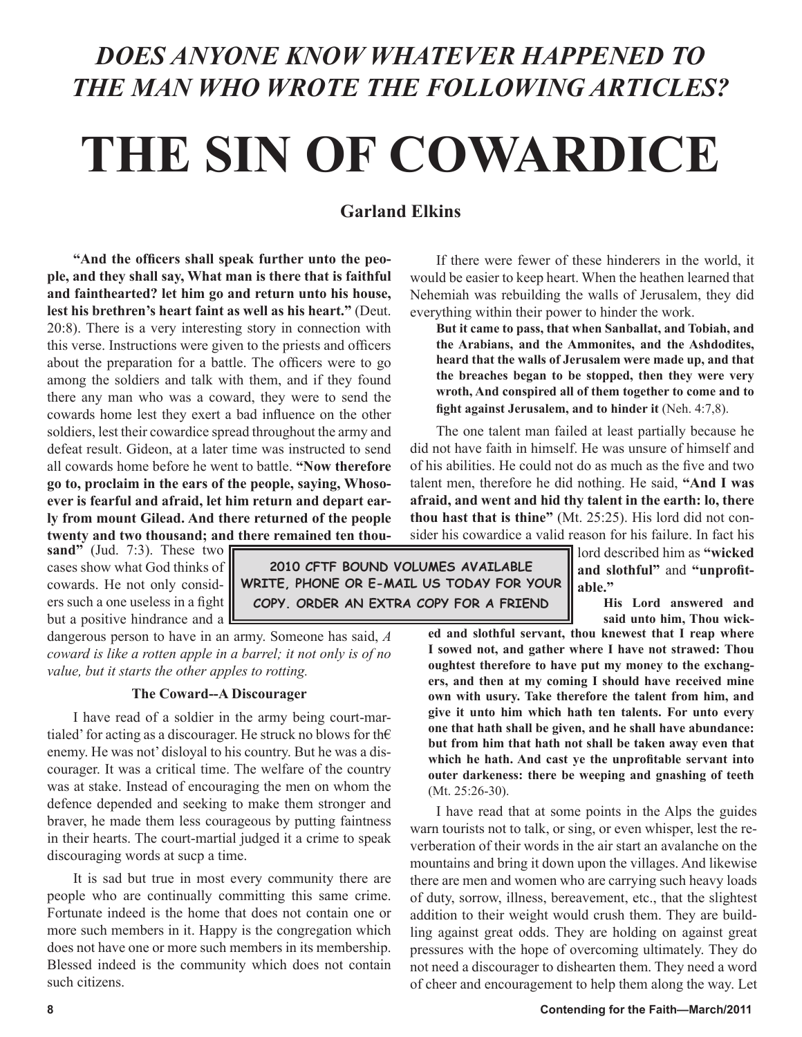### *DOES ANYONE KNOW WHATEVER HAPPENED TO THE MAN WHO WROTE THE FOLLOWING ARTICLES?*

## **THE SIN OF COWARDICE**

#### **Garland Elkins**

**"And the officers shall speak further unto the people, and they shall say, What man is there that is faithful and fainthearted? let him go and return unto his house, lest his brethren's heart faint as well as his heart."** (Deut. 20:8). There is a very interesting story in connection with this verse. Instructions were given to the priests and officers about the preparation for a battle. The officers were to go among the soldiers and talk with them, and if they found there any man who was a coward, they were to send the cowards home lest they exert a bad influence on the other soldiers, lest their cowardice spread throughout the army and defeat result. Gideon, at a later time was instructed to send all cowards home before he went to battle. **"Now therefore go to, proclaim in the ears of the people, saying, Whosoever is fearful and afraid, let him return and depart early from mount Gilead. And there returned of the people twenty and two thousand; and there remained ten thousand" (Jud. 7:3). These two** 

cases show what God thinks of cowards. He not only considers such a one useless in a fight but a positive hindrance and a  $\Box$ 

**2010 CFTF BOUND VOLUMES AVAILABLE WRITE, PHONE OR E-MAIL US TODAY FOR YOUR COPY. ORDER AN EXTRA COPY FOR A FRIEND**

dangerous person to have in an army. Someone has said, *A coward is like a rotten apple in a barrel; it not only is of no value, but it starts the other apples to rotting.*

#### **The Coward--A Discourager**

I have read of a soldier in the army being court-martialed' for acting as a discourager. He struck no blows for th $\epsilon$ enemy. He was not' disloyal to his country. But he was a discourager. It was a critical time. The welfare of the country was at stake. Instead of encouraging the men on whom the defence depended and seeking to make them stronger and braver, he made them less courageous by putting faintness in their hearts. The court-martial judged it a crime to speak discouraging words at sucp a time.

It is sad but true in most every community there are people who are continually committing this same crime. Fortunate indeed is the home that does not contain one or more such members in it. Happy is the congregation which does not have one or more such members in its membership. Blessed indeed is the community which does not contain such citizens.

If there were fewer of these hinderers in the world, it would be easier to keep heart. When the heathen learned that Nehemiah was rebuilding the walls of Jerusalem, they did everything within their power to hinder the work.

**But it came to pass, that when Sanballat, and Tobiah, and the Arabians, and the Ammonites, and the Ashdodites, heard that the walls of Jerusalem were made up, and that the breaches began to be stopped, then they were very wroth, And conspired all of them together to come and to fight against Jerusalem, and to hinder it** (Neh. 4:7,8).

The one talent man failed at least partially because he did not have faith in himself. He was unsure of himself and of his abilities. He could not do as much as the five and two talent men, therefore he did nothing. He said, **"And I was afraid, and went and hid thy talent in the earth: lo, there thou hast that is thine"** (Mt. 25:25). His lord did not consider his cowardice a valid reason for his failure. In fact his

> lord described him as **"wicked and slothful"** and **"unprofitable."**

> > **His Lord answered and said unto him, Thou wick-**

**ed and slothful servant, thou knewest that I reap where I sowed not, and gather where I have not strawed: Thou oughtest therefore to have put my money to the exchangers, and then at my coming I should have received mine own with usury. Take therefore the talent from him, and give it unto him which hath ten talents. For unto every one that hath shall be given, and he shall have abundance: but from him that hath not shall be taken away even that which he hath. And cast ye the unprofitable servant into outer darkeness: there be weeping and gnashing of teeth**  (Mt. 25:26-30).

I have read that at some points in the Alps the guides warn tourists not to talk, or sing, or even whisper, lest the reverberation of their words in the air start an avalanche on the mountains and bring it down upon the villages. And likewise there are men and women who are carrying such heavy loads of duty, sorrow, illness, bereavement, etc., that the slightest addition to their weight would crush them. They are buildling against great odds. They are holding on against great pressures with the hope of overcoming ultimately. They do not need a discourager to dishearten them. They need a word of cheer and encouragement to help them along the way. Let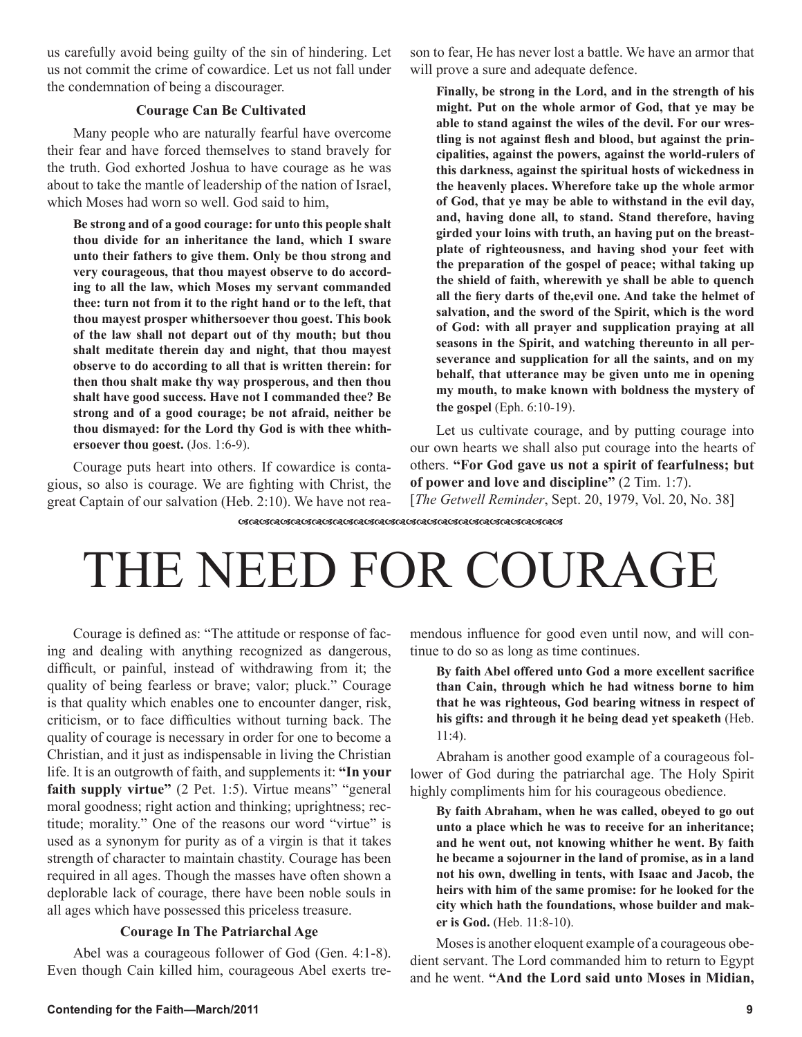us carefully avoid being guilty of the sin of hindering. Let us not commit the crime of cowardice. Let us not fall under the condemnation of being a discourager.

#### **Courage Can Be Cultivated**

Many people who are naturally fearful have overcome their fear and have forced themselves to stand bravely for the truth. God exhorted Joshua to have courage as he was about to take the mantle of leadership of the nation of Israel, which Moses had worn so well. God said to him,

**Be strong and of a good courage: for unto this people shalt thou divide for an inheritance the land, which I sware unto their fathers to give them. Only be thou strong and very courageous, that thou mayest observe to do according to all the law, which Moses my servant commanded thee: turn not from it to the right hand or to the left, that thou mayest prosper whithersoever thou goest. This book of the law shall not depart out of thy mouth; but thou shalt meditate therein day and night, that thou mayest observe to do according to all that is written therein: for then thou shalt make thy way prosperous, and then thou shalt have good success. Have not I commanded thee? Be strong and of a good courage; be not afraid, neither be thou dismayed: for the Lord thy God is with thee whithersoever thou goest.** (Jos. 1:6-9).

Courage puts heart into others. If cowardice is contagious, so also is courage. We are fighting with Christ, the great Captain of our salvation (Heb. 2:10). We have not reason to fear, He has never lost a battle. We have an armor that will prove a sure and adequate defence.

**Finally, be strong in the Lord, and in the strength of his might. Put on the whole armor of God, that ye may be able to stand against the wiles of the devil. For our wrestling is not against flesh and blood, but against the principalities, against the powers, against the world-rulers of this darkness, against the spiritual hosts of wickedness in the heavenly places. Wherefore take up the whole armor of God, that ye may be able to withstand in the evil day, and, having done all, to stand. Stand therefore, having girded your loins with truth, an having put on the breastplate of righteousness, and having shod your feet with the preparation of the gospel of peace; withal taking up the shield of faith, wherewith ye shall be able to quench all the fiery darts of the,evil one. And take the helmet of salvation, and the sword of the Spirit, which is the word of God: with all prayer and supplication praying at all seasons in the Spirit, and watching thereunto in all perseverance and supplication for all the saints, and on my behalf, that utterance may be given unto me in opening my mouth, to make known with boldness the mystery of the gospel** (Eph. 6:10-19).

Let us cultivate courage, and by putting courage into our own hearts we shall also put courage into the hearts of others. **"For God gave us not a spirit of fearfulness; but of power and love and discipline"** (2 Tim. 1:7).

[*The Getwell Reminder*, Sept. 20, 1979, Vol. 20, No. 38]

<u>ୱେଠାରେ ବିଶ୍ୱର ସେଠାରେ ବିଶ୍ୱର ସେଠାରେ ବିଶ୍ୱର ସେଠାରେ ବିଶ୍ୱର ସେଠାରେ ବିଶ୍ୱର ସେଠାରେ ସେ</u>

## THE NEED FOR COURAGE

Courage is defined as: "The attitude or response of facing and dealing with anything recognized as dangerous, difficult, or painful, instead of withdrawing from it; the quality of being fearless or brave; valor; pluck." Courage is that quality which enables one to encounter danger, risk, criticism, or to face difficulties without turning back. The quality of courage is necessary in order for one to become a Christian, and it just as indispensable in living the Christian life. It is an outgrowth of faith, and supplements it: **"In your faith supply virtue"** (2 Pet. 1:5). Virtue means" "general moral goodness; right action and thinking; uprightness; rectitude; morality." One of the reasons our word "virtue" is used as a synonym for purity as of a virgin is that it takes strength of character to maintain chastity. Courage has been required in all ages. Though the masses have often shown a deplorable lack of courage, there have been noble souls in all ages which have possessed this priceless treasure.

#### **Courage In The Patriarchal Age**

Abel was a courageous follower of God (Gen. 4:1-8). Even though Cain killed him, courageous Abel exerts tremendous influence for good even until now, and will continue to do so as long as time continues.

**By faith Abel offered unto God a more excellent sacrifice than Cain, through which he had witness borne to him that he was righteous, God bearing witness in respect of his gifts: and through it he being dead yet speaketh** (Heb. 11:4).

Abraham is another good example of a courageous follower of God during the patriarchal age. The Holy Spirit highly compliments him for his courageous obedience.

**By faith Abraham, when he was called, obeyed to go out unto a place which he was to receive for an inheritance; and he went out, not knowing whither he went. By faith he became a sojourner in the land of promise, as in a land not his own, dwelling in tents, with Isaac and Jacob, the heirs with him of the same promise: for he looked for the city which hath the foundations, whose builder and maker is God.** (Heb. 11:8-10).

Moses is another eloquent example of a courageous obedient servant. The Lord commanded him to return to Egypt and he went. **"And the Lord said unto Moses in Midian,**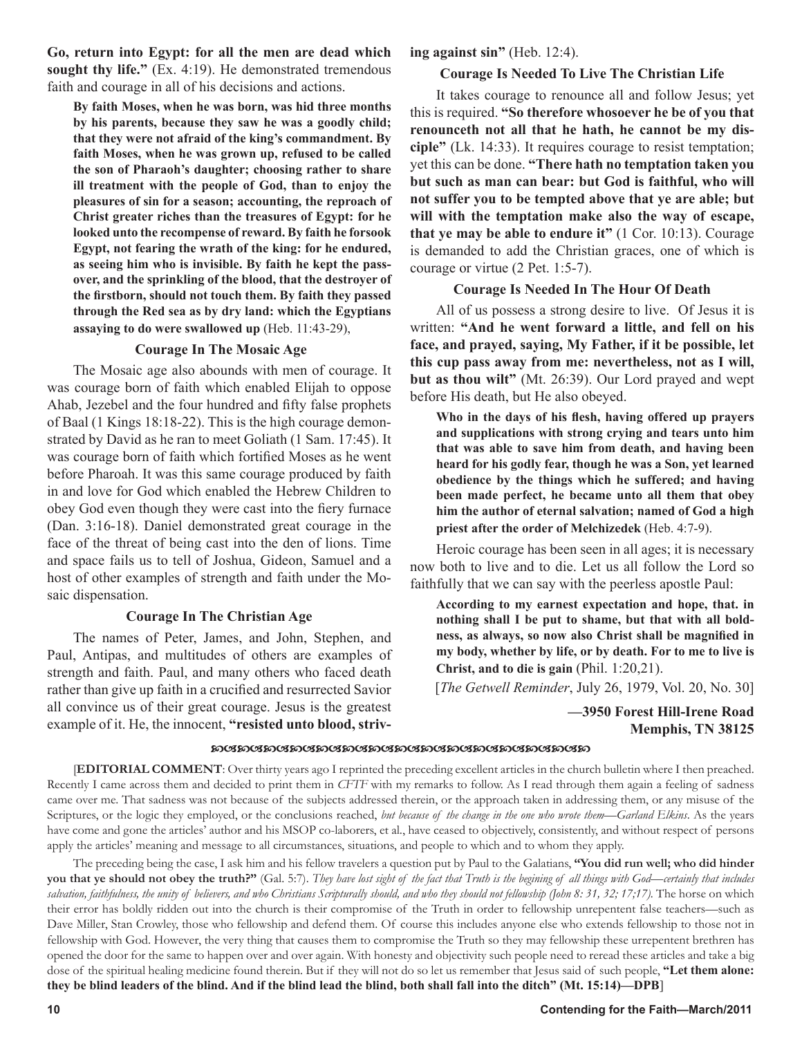**Go, return into Egypt: for all the men are dead which sought thy life."** (Ex. 4:19). He demonstrated tremendous faith and courage in all of his decisions and actions.

**By faith Moses, when he was born, was hid three months by his parents, because they saw he was a goodly child; that they were not afraid of the king's commandment. By faith Moses, when he was grown up, refused to be called the son of Pharaoh's daughter; choosing rather to share ill treatment with the people of God, than to enjoy the pleasures of sin for a season; accounting, the reproach of Christ greater riches than the treasures of Egypt: for he looked unto the recompense of reward. By faith he forsook Egypt, not fearing the wrath of the king: for he endured, as seeing him who is invisible. By faith he kept the passover, and the sprinkling of the blood, that the destroyer of the firstborn, should not touch them. By faith they passed through the Red sea as by dry land: which the Egyptians assaying to do were swallowed up** (Heb. 11:43-29),

#### **Courage In The Mosaic Age**

The Mosaic age also abounds with men of courage. It was courage born of faith which enabled Elijah to oppose Ahab, Jezebel and the four hundred and fifty false prophets of Baal (1 Kings 18:18-22). This is the high courage demonstrated by David as he ran to meet Goliath (1 Sam. 17:45). It was courage born of faith which fortified Moses as he went before Pharoah. It was this same courage produced by faith in and love for God which enabled the Hebrew Children to obey God even though they were cast into the fiery furnace (Dan. 3:16-18). Daniel demonstrated great courage in the face of the threat of being cast into the den of lions. Time and space fails us to tell of Joshua, Gideon, Samuel and a host of other examples of strength and faith under the Mosaic dispensation.

#### **Courage In The Christian Age**

The names of Peter, James, and John, Stephen, and Paul, Antipas, and multitudes of others are examples of strength and faith. Paul, and many others who faced death rather than give up faith in a crucified and resurrected Savior all convince us of their great courage. Jesus is the greatest example of it. He, the innocent, **"resisted unto blood, striv-**

#### **ing against sin"** (Heb. 12:4).

#### **Courage Is Needed To Live The Christian Life**

It takes courage to renounce all and follow Jesus; yet this is required. **"So therefore whosoever he be of you that renounceth not all that he hath, he cannot be my disciple"** (Lk. 14:33). It requires courage to resist temptation; yet this can be done. **"There hath no temptation taken you but such as man can bear: but God is faithful, who will not suffer you to be tempted above that ye are able; but will with the temptation make also the way of escape, that ye may be able to endure it"** (1 Cor. 10:13). Courage is demanded to add the Christian graces, one of which is courage or virtue (2 Pet. 1:5-7).

#### **Courage Is Needed In The Hour Of Death**

All of us possess a strong desire to live. Of Jesus it is written: **"And he went forward a little, and fell on his face, and prayed, saying, My Father, if it be possible, let this cup pass away from me: nevertheless, not as I will, but as thou wilt"** (Mt. 26:39). Our Lord prayed and wept before His death, but He also obeyed.

**Who in the days of his flesh, having offered up prayers and supplications with strong crying and tears unto him that was able to save him from death, and having been heard for his godly fear, though he was a Son, yet learned obedience by the things which he suffered; and having been made perfect, he became unto all them that obey him the author of eternal salvation; named of God a high priest after the order of Melchizedek** (Heb. 4:7-9).

Heroic courage has been seen in all ages; it is necessary now both to live and to die. Let us all follow the Lord so faithfully that we can say with the peerless apostle Paul:

**According to my earnest expectation and hope, that. in nothing shall I be put to shame, but that with all boldness, as always, so now also Christ shall be magnified in my body, whether by life, or by death. For to me to live is Christ, and to die is gain** (Phil. 1:20,21).

[*The Getwell Reminder*, July 26, 1979, Vol. 20, No. 30]

#### **—3950 Forest Hill-Irene Road Memphis, TN 38125**

#### **෩ඦ෨ඦ෨ඦ෨ඦ෨ඦ෨ඦ෨ඦ෨ඦ෨ඦ෨ඦ෨ඦ෨ඦ෨ඦ෨**

[**EDITORIAL COMMENT**: Over thirty years ago I reprinted the preceding excellent articles in the church bulletin where I then preached. Recently I came across them and decided to print them in *CFTF* with my remarks to follow. As I read through them again a feeling of sadness came over me. That sadness was not because of the subjects addressed therein, or the approach taken in addressing them, or any misuse of the Scriptures, or the logic they employed, or the conclusions reached, *but because of the change in the one who wrote them—Garland Elkins*. As the years have come and gone the articles' author and his MSOP co-laborers, et al., have ceased to objectively, consistently, and without respect of persons apply the articles' meaning and message to all circumstances, situations, and people to which and to whom they apply.

The preceding being the case, I ask him and his fellow travelers a question put by Paul to the Galatians, **"You did run well; who did hinder you that ye should not obey the truth?"** (Gal. 5:7). *They have lost sight of the fact that Truth is the begining of all things with God—certainly that includes salvation, faithfulness, the unity of believers, and who Christians Scripturally should, and who they should not fellowship (John 8: 31, 32; 17;17).* The horse on which their error has boldly ridden out into the church is their compromise of the Truth in order to fellowship unrepentent false teachers—such as Dave Miller, Stan Crowley, those who fellowship and defend them. Of course this includes anyone else who extends fellowship to those not in fellowship with God. However, the very thing that causes them to compromise the Truth so they may fellowship these urrepentent brethren has opened the door for the same to happen over and over again. With honesty and objectivity such people need to reread these articles and take a big dose of the spiritual healing medicine found therein. But if they will not do so let us remember that Jesus said of such people, **"Let them alone: they be blind leaders of the blind. And if the blind lead the blind, both shall fall into the ditch" (Mt. 15:14)—DPB**]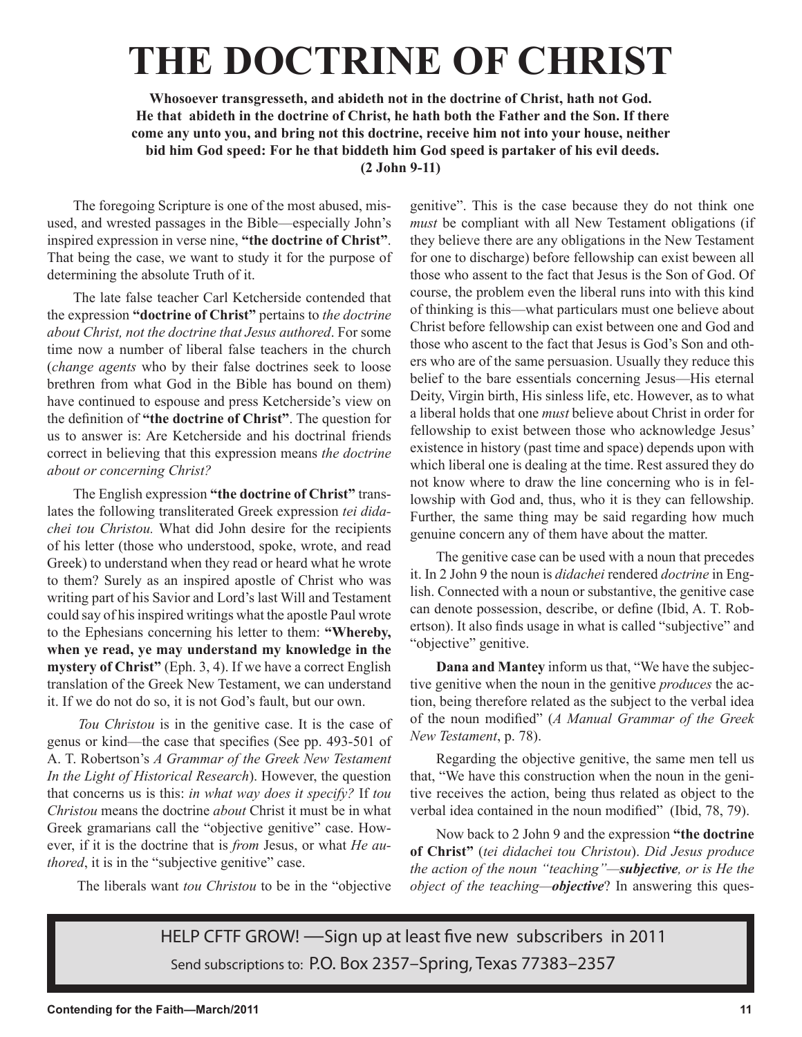## **THE DOCTRINE OF CHRIST**

**Whosoever transgresseth, and abideth not in the doctrine of Christ, hath not God. He that abideth in the doctrine of Christ, he hath both the Father and the Son. If there come any unto you, and bring not this doctrine, receive him not into your house, neither bid him God speed: For he that biddeth him God speed is partaker of his evil deeds. (2 John 9-11)**

The foregoing Scripture is one of the most abused, misused, and wrested passages in the Bible—especially John's inspired expression in verse nine, **"the doctrine of Christ"**. That being the case, we want to study it for the purpose of determining the absolute Truth of it.

The late false teacher Carl Ketcherside contended that the expression **"doctrine of Christ"** pertains to *the doctrine about Christ, not the doctrine that Jesus authored*. For some time now a number of liberal false teachers in the church (*change agents* who by their false doctrines seek to loose brethren from what God in the Bible has bound on them) have continued to espouse and press Ketcherside's view on the definition of **"the doctrine of Christ"**. The question for us to answer is: Are Ketcherside and his doctrinal friends correct in believing that this expression means *the doctrine about or concerning Christ?*

The English expression **"the doctrine of Christ"** translates the following transliterated Greek expression *tei didachei tou Christou.* What did John desire for the recipients of his letter (those who understood, spoke, wrote, and read Greek) to understand when they read or heard what he wrote to them? Surely as an inspired apostle of Christ who was writing part of his Savior and Lord's last Will and Testament could say of his inspired writings what the apostle Paul wrote to the Ephesians concerning his letter to them: **"Whereby, when ye read, ye may understand my knowledge in the mystery of Christ"** (Eph. 3, 4). If we have a correct English translation of the Greek New Testament, we can understand it. If we do not do so, it is not God's fault, but our own.

*Tou Christou* is in the genitive case. It is the case of genus or kind—the case that specifies (See pp. 493-501 of A. T. Robertson's *A Grammar of the Greek New Testament In the Light of Historical Research*). However, the question that concerns us is this: *in what way does it specify?* If *tou Christou* means the doctrine *about* Christ it must be in what Greek gramarians call the "objective genitive" case. However, if it is the doctrine that is *from* Jesus, or what *He authored*, it is in the "subjective genitive" case.

genitive". This is the case because they do not think one *must* be compliant with all New Testament obligations (if they believe there are any obligations in the New Testament for one to discharge) before fellowship can exist beween all those who assent to the fact that Jesus is the Son of God. Of course, the problem even the liberal runs into with this kind of thinking is this—what particulars must one believe about Christ before fellowship can exist between one and God and those who ascent to the fact that Jesus is God's Son and others who are of the same persuasion. Usually they reduce this belief to the bare essentials concerning Jesus—His eternal Deity, Virgin birth, His sinless life, etc. However, as to what a liberal holds that one *must* believe about Christ in order for fellowship to exist between those who acknowledge Jesus' existence in history (past time and space) depends upon with which liberal one is dealing at the time. Rest assured they do not know where to draw the line concerning who is in fellowship with God and, thus, who it is they can fellowship. Further, the same thing may be said regarding how much genuine concern any of them have about the matter.

The genitive case can be used with a noun that precedes it. In 2 John 9 the noun is *didachei* rendered *doctrine* in English. Connected with a noun or substantive, the genitive case can denote possession, describe, or define (Ibid, A. T. Robertson). It also finds usage in what is called "subjective" and "objective" genitive.

**Dana and Mantey** inform us that, "We have the subjective genitive when the noun in the genitive *produces* the action, being therefore related as the subject to the verbal idea of the noun modified" (*A Manual Grammar of the Greek New Testament*, p. 78).

Regarding the objective genitive, the same men tell us that, "We have this construction when the noun in the genitive receives the action, being thus related as object to the verbal idea contained in the noun modified" (Ibid, 78, 79).

Now back to 2 John 9 and the expression **"the doctrine of Christ"** (*tei didachei tou Christou*). *Did Jesus produce the action of the noun "teaching"—subjective, or is He the object of the teaching—objective*? In answering this ques-

The liberals want *tou Christou* to be in the "objective

HELP CFTF GROW! —Sign up at least five new subscribers in 2011 Send subscriptions to: P.O. Box 2357–Spring, Texas 77383–2357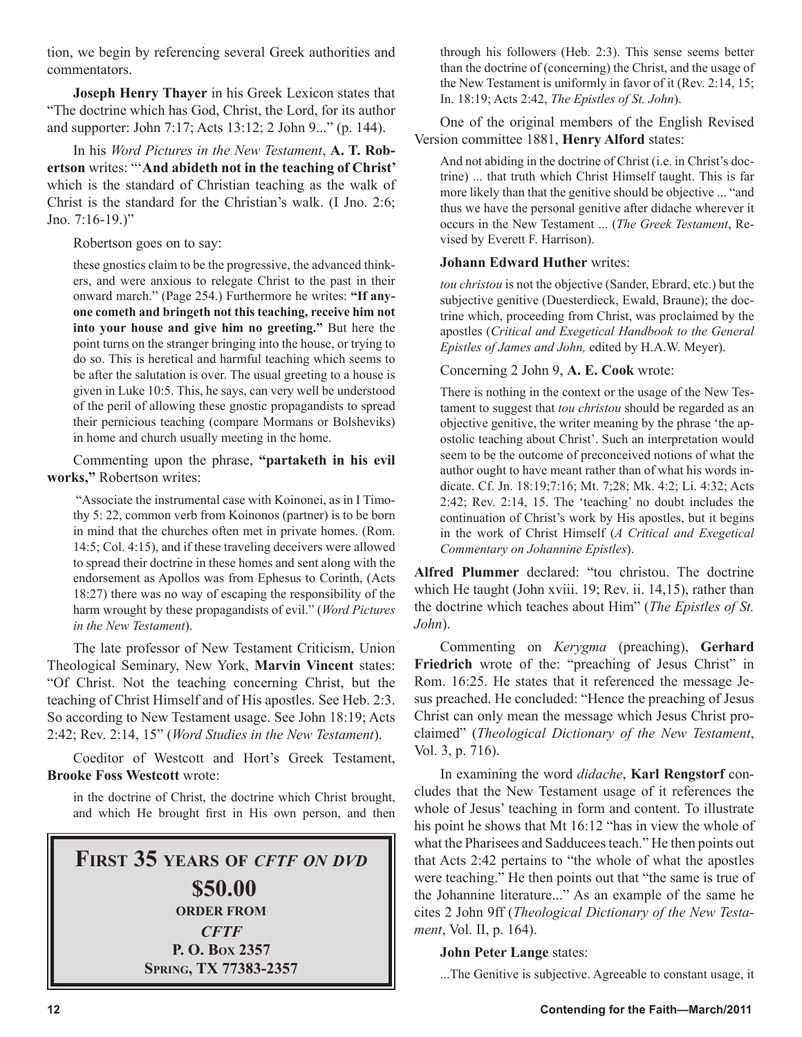tion, we begin by referencing several Greek authorities and commentators.

**Joseph Henry Thayer** in his Greek Lexicon states that "The doctrine which has God, Christ, the Lord, for its author and supporter: John 7:17; Acts 13:12; 2 John 9..." (p. 144).

In his *Word Pictures in the New Testament*, **A. T. Robertson** writes: "'**And abideth not in the teaching of Christ'**  which is the standard of Christian teaching as the walk of Christ is the standard for the Christian's walk. (I Jno. 2:6; Jno.  $7:16-19.$ "

Robertson goes on to say:

these gnostics claim to be the progressive, the advanced thinkers, and were anxious to relegate Christ to the past in their onward march." (Page 254.) Furthermore he writes: **"If anyone cometh and bringeth not this teaching, receive him not into your house and give him no greeting."** But here the point turns on the stranger bringing into the house, or trying to do so. This is heretical and harmful teaching which seems to be after the salutation is over. The usual greeting to a house is given in Luke 10:5. This, he says, can very well be understood of the peril of allowing these gnostic propagandists to spread their pernicious teaching (compare Mormans or Bolsheviks) in home and church usually meeting in the home.

Commenting upon the phrase, **"partaketh in his evil works,"** Robertson writes:

 "Associate the instrumental case with Koinonei, as in I Timothy 5: 22, common verb from Koinonos (partner) is to be born in mind that the churches often met in private homes. (Rom. 14:5; Col. 4:15), and if these traveling deceivers were allowed to spread their doctrine in these homes and sent along with the endorsement as Apollos was from Ephesus to Corinth, (Acts 18:27) there was no way of escaping the responsibility of the harm wrought by these propagandists of evil." (*Word Pictures in the New Testament*).

The late professor of New Testament Criticism, Union Theological Seminary, New York, **Marvin Vincent** states: "Of Christ. Not the teaching concerning Christ, but the teaching of Christ Himself and of His apostles. See Heb. 2:3. So according to New Testament usage. See John 18:19; Acts 2:42; Rev. 2:14, 15" (*Word Studies in the New Testament*).

Coeditor of Westcott and Hort's Greek Testament, **Brooke Foss Westcott** wrote:

in the doctrine of Christ, the doctrine which Christ brought, and which He brought first in His own person, and then

#### **FIRST 35 YEARS OF** *CFTF ON DVD* **\$50.00 ORDER FROM** *CFTF* **P. O. BOX 2357 SPRING, TX 77383-2357**

through his followers (Heb. 2:3). This sense seems better than the doctrine of (concerning) the Christ, and the usage of the New Testament is uniformly in favor of it (Rev. 2:14, 15; In. 18:19; Acts 2:42, *The Epistles of St. John*).

One of the original members of the English Revised Version committee 1881, **Henry Alford** states:

And not abiding in the doctrine of Christ (i.e. in Christ's doctrine) ... that truth which Christ Himself taught. This is far more likely than that the genitive should be objective ... "and thus we have the personal genitive after didache wherever it occurs in the New Testament ... (*The Greek Testament*, Revised by Everett F. Harrison).

#### **Johann Edward Huther** writes:

*tou christou* is not the objective (Sander, Ebrard, etc.) but the subjective genitive (Duesterdieck, Ewald, Braune); the doctrine which, proceeding from Christ, was proclaimed by the apostles (*Critical and Exegetical Handbook to the General Epistles of James and John,* edited by H.A.W. Meyer).

Concerning 2 John 9, **A. E. Cook** wrote:

There is nothing in the context or the usage of the New Testament to suggest that *tou christou* should be regarded as an objective genitive, the writer meaning by the phrase 'the apostolic teaching about Christ'. Such an interpretation would seem to be the outcome of preconceived notions of what the author ought to have meant rather than of what his words indicate. Cf. Jn. 18:19;7:16; Mt. 7;28; Mk. 4:2; Li. 4:32; Acts 2:42; Rev. 2:14, 15. The 'teaching' no doubt includes the continuation of Christ's work by His apostles, but it begins in the work of Christ Himself (*A Critical and Exegetical Commentary on Johannine Epistles*).

**Alfred Plummer** declared: "tou christou. The doctrine which He taught (John xviii. 19; Rev. ii. 14,15), rather than the doctrine which teaches about Him" (*The Epistles of St. John*).

Commenting on *Kerygma* (preaching), **Gerhard** Friedrich wrote of the: "preaching of Jesus Christ" in Rom. 16:25. He states that it referenced the message Jesus preached. He concluded: "Hence the preaching of Jesus Christ can only mean the message which Jesus Christ proclaimed" (*Theological Dictionary of the New Testament*, Vol. 3, p. 716).

In examining the word *didache*, **Karl Rengstorf** concludes that the New Testament usage of it references the whole of Jesus' teaching in form and content. To illustrate his point he shows that Mt 16:12 "has in view the whole of what the Pharisees and Sadducees teach." He then points out that Acts 2:42 pertains to "the whole of what the apostles were teaching." He then points out that "the same is true of the Johannine literature..." As an example of the same he cites 2 John 9ff (*Theological Dictionary of the New Testament*, Vol. II, p. 164).

#### **John Peter Lange** states:

...The Genitive is subjective. Agreeable to constant usage, it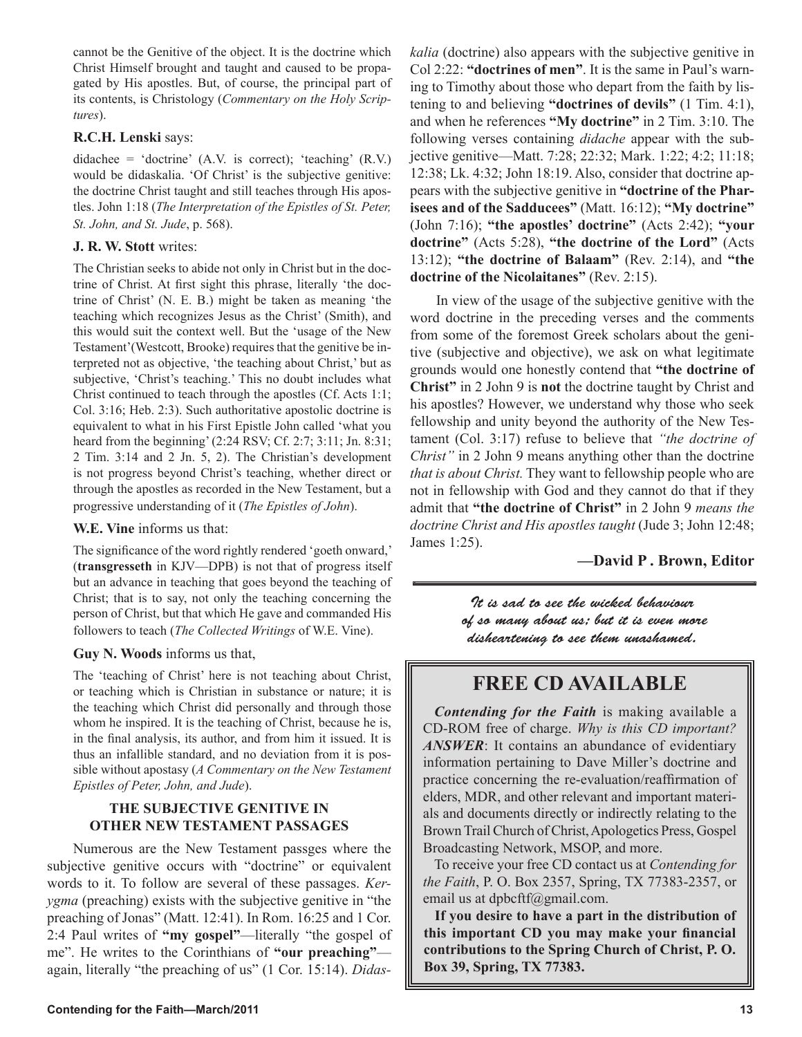cannot be the Genitive of the object. It is the doctrine which Christ Himself brought and taught and caused to be propagated by His apostles. But, of course, the principal part of its contents, is Christology (*Commentary on the Holy Scriptures*).

#### **R.C.H. Lenski** says:

didachee = 'doctrine' (A.V. is correct); 'teaching' (R.V.) would be didaskalia. 'Of Christ' is the subjective genitive: the doctrine Christ taught and still teaches through His apostles. John 1:18 (*The Interpretation of the Epistles of St. Peter, St. John, and St. Jude*, p. 568).

#### **J. R. W. Stott** writes:

The Christian seeks to abide not only in Christ but in the doctrine of Christ. At first sight this phrase, literally 'the doctrine of Christ' (N. E. B.) might be taken as meaning 'the teaching which recognizes Jesus as the Christ' (Smith), and this would suit the context well. But the 'usage of the New Testament'(Westcott, Brooke) requires that the genitive be interpreted not as objective, 'the teaching about Christ,' but as subjective, 'Christ's teaching.' This no doubt includes what Christ continued to teach through the apostles (Cf. Acts 1:1; Col. 3:16; Heb. 2:3). Such authoritative apostolic doctrine is equivalent to what in his First Epistle John called 'what you heard from the beginning' (2:24 RSV; Cf. 2:7; 3:11; Jn. 8:31; 2 Tim. 3:14 and 2 Jn. 5, 2). The Christian's development is not progress beyond Christ's teaching, whether direct or through the apostles as recorded in the New Testament, but a progressive understanding of it (*The Epistles of John*).

#### **W.E. Vine** informs us that:

The significance of the word rightly rendered 'goeth onward,' (**transgresseth** in KJV—DPB) is not that of progress itself but an advance in teaching that goes beyond the teaching of Christ; that is to say, not only the teaching concerning the person of Christ, but that which He gave and commanded His followers to teach (*The Collected Writings* of W.E. Vine).

#### **Guy N. Woods** informs us that,

The 'teaching of Christ' here is not teaching about Christ, or teaching which is Christian in substance or nature; it is the teaching which Christ did personally and through those whom he inspired. It is the teaching of Christ, because he is, in the final analysis, its author, and from him it issued. It is thus an infallible standard, and no deviation from it is possible without apostasy (*A Commentary on the New Testament Epistles of Peter, John, and Jude*).

#### **THE SUBJECTIVE GENITIVE IN OTHER NEW TESTAMENT PASSAGES**

Numerous are the New Testament passges where the subjective genitive occurs with "doctrine" or equivalent words to it. To follow are several of these passages. *Kerygma* (preaching) exists with the subjective genitive in "the preaching of Jonas" (Matt. 12:41). In Rom. 16:25 and 1 Cor. 2:4 Paul writes of **"my gospel"**—literally "the gospel of me". He writes to the Corinthians of **"our preaching"** again, literally "the preaching of us" (1 Cor. 15:14). *Didas-* *kalia* (doctrine) also appears with the subjective genitive in Col 2:22: **"doctrines of men"**. It is the same in Paul's warning to Timothy about those who depart from the faith by listening to and believing **"doctrines of devils"** (1 Tim. 4:1), and when he references **"My doctrine"** in 2 Tim. 3:10. The following verses containing *didache* appear with the subjective genitive—Matt. 7:28; 22:32; Mark. 1:22; 4:2; 11:18; 12:38; Lk. 4:32; John 18:19. Also, consider that doctrine appears with the subjective genitive in **"doctrine of the Pharisees and of the Sadducees"** (Matt. 16:12); **"My doctrine"** (John 7:16); **"the apostles' doctrine"** (Acts 2:42); **"your doctrine"** (Acts 5:28), **"the doctrine of the Lord"** (Acts 13:12); **"the doctrine of Balaam"** (Rev. 2:14), and **"the doctrine of the Nicolaitanes"** (Rev. 2:15).

In view of the usage of the subjective genitive with the word doctrine in the preceding verses and the comments from some of the foremost Greek scholars about the genitive (subjective and objective), we ask on what legitimate grounds would one honestly contend that **"the doctrine of Christ"** in 2 John 9 is **not** the doctrine taught by Christ and his apostles? However, we understand why those who seek fellowship and unity beyond the authority of the New Testament (Col. 3:17) refuse to believe that *"the doctrine of Christ"* in 2 John 9 means anything other than the doctrine *that is about Christ.* They want to fellowship people who are not in fellowship with God and they cannot do that if they admit that **"the doctrine of Christ"** in 2 John 9 *means the doctrine Christ and His apostles taught* (Jude 3; John 12:48; James 1:25).

#### **—David P . Brown, Editor**

It is sad to see the wicked behaviour of so many about us; but it is even more disheartening to see them unashamed.

#### **FREE CD AVAILABLE**

*Contending for the Faith* is making available a CD-ROM free of charge. *Why is this CD important? ANSWER*: It contains an abundance of evidentiary information pertaining to Dave Miller's doctrine and practice concerning the re-evaluation/reaffirmation of elders, MDR, and other relevant and important materials and documents directly or indirectly relating to the Brown Trail Church of Christ, Apologetics Press, Gospel Broadcasting Network, MSOP, and more.

To receive your free CD contact us at *Contending for the Faith*, P. O. Box 2357, Spring, TX 77383-2357, or email us at dpbcftf@gmail.com.

**If you desire to have a part in the distribution of this important CD you may make your financial contributions to the Spring Church of Christ, P. O. Box 39, Spring, TX 77383.**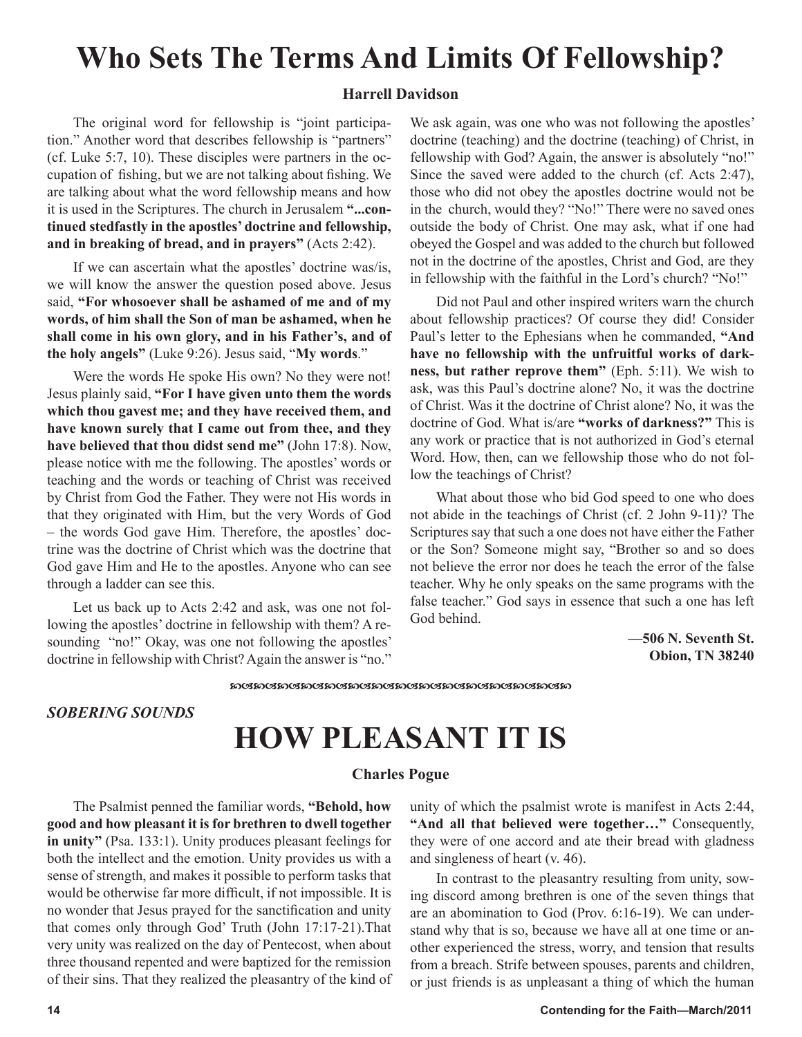### **Who Sets The Terms And Limits Of Fellowship?**

#### **Harrell Davidson**

The original word for fellowship is "joint participation." Another word that describes fellowship is "partners" (cf. Luke 5:7, 10). These disciples were partners in the occupation of fishing, but we are not talking about fishing. We are talking about what the word fellowship means and how it is used in the Scriptures. The church in Jerusalem **"...continued stedfastly in the apostles' doctrine and fellowship, and in breaking of bread, and in prayers"** (Acts 2:42).

If we can ascertain what the apostles' doctrine was/is, we will know the answer the question posed above. Jesus said, **"For whosoever shall be ashamed of me and of my words, of him shall the Son of man be ashamed, when he shall come in his own glory, and in his Father's, and of the holy angels"** (Luke 9:26). Jesus said, "**My words**."

Were the words He spoke His own? No they were not! Jesus plainly said, **"For I have given unto them the words which thou gavest me; and they have received them, and have known surely that I came out from thee, and they have believed that thou didst send me"** (John 17:8). Now, please notice with me the following. The apostles' words or teaching and the words or teaching of Christ was received by Christ from God the Father. They were not His words in that they originated with Him, but the very Words of God – the words God gave Him. Therefore, the apostles' doctrine was the doctrine of Christ which was the doctrine that God gave Him and He to the apostles. Anyone who can see through a ladder can see this.

Let us back up to Acts 2:42 and ask, was one not following the apostles' doctrine in fellowship with them? A resounding "no!" Okay, was one not following the apostles' doctrine in fellowship with Christ? Again the answer is "no." We ask again, was one who was not following the apostles' doctrine (teaching) and the doctrine (teaching) of Christ, in fellowship with God? Again, the answer is absolutely "no!" Since the saved were added to the church (cf. Acts 2:47), those who did not obey the apostles doctrine would not be in the church, would they? "No!" There were no saved ones outside the body of Christ. One may ask, what if one had obeyed the Gospel and was added to the church but followed not in the doctrine of the apostles, Christ and God, are they in fellowship with the faithful in the Lord's church? "No!"

Did not Paul and other inspired writers warn the church about fellowship practices? Of course they did! Consider Paul's letter to the Ephesians when he commanded, **"And have no fellowship with the unfruitful works of darkness, but rather reprove them"** (Eph. 5:11). We wish to ask, was this Paul's doctrine alone? No, it was the doctrine of Christ. Was it the doctrine of Christ alone? No, it was the doctrine of God. What is/are **"works of darkness?"** This is any work or practice that is not authorized in God's eternal Word. How, then, can we fellowship those who do not follow the teachings of Christ?

What about those who bid God speed to one who does not abide in the teachings of Christ (cf. 2 John 9-11)? The Scriptures say that such a one does not have either the Father or the Son? Someone might say, "Brother so and so does not believe the error nor does he teach the error of the false teacher. Why he only speaks on the same programs with the false teacher." God says in essence that such a one has left God behind.

> **—506 N. Seventh St. Obion, TN 38240**

๛๛๛๛๛๛๛๛๛๛๛๛๛๛๛๛๛๛๛๛๛๛๛

*SOBERING SOUNDS*

## **HOW PLEASANT IT IS**

#### **Charles Pogue**

The Psalmist penned the familiar words, **"Behold, how good and how pleasant it is for brethren to dwell together in unity"** (Psa. 133:1). Unity produces pleasant feelings for both the intellect and the emotion. Unity provides us with a sense of strength, and makes it possible to perform tasks that would be otherwise far more difficult, if not impossible. It is no wonder that Jesus prayed for the sanctification and unity that comes only through God' Truth (John 17:17-21).That very unity was realized on the day of Pentecost, when about three thousand repented and were baptized for the remission of their sins. That they realized the pleasantry of the kind of unity of which the psalmist wrote is manifest in Acts 2:44, **"And all that believed were together…"** Consequently, they were of one accord and ate their bread with gladness and singleness of heart (v. 46).

In contrast to the pleasantry resulting from unity, sowing discord among brethren is one of the seven things that are an abomination to God (Prov. 6:16-19). We can understand why that is so, because we have all at one time or another experienced the stress, worry, and tension that results from a breach. Strife between spouses, parents and children, or just friends is as unpleasant a thing of which the human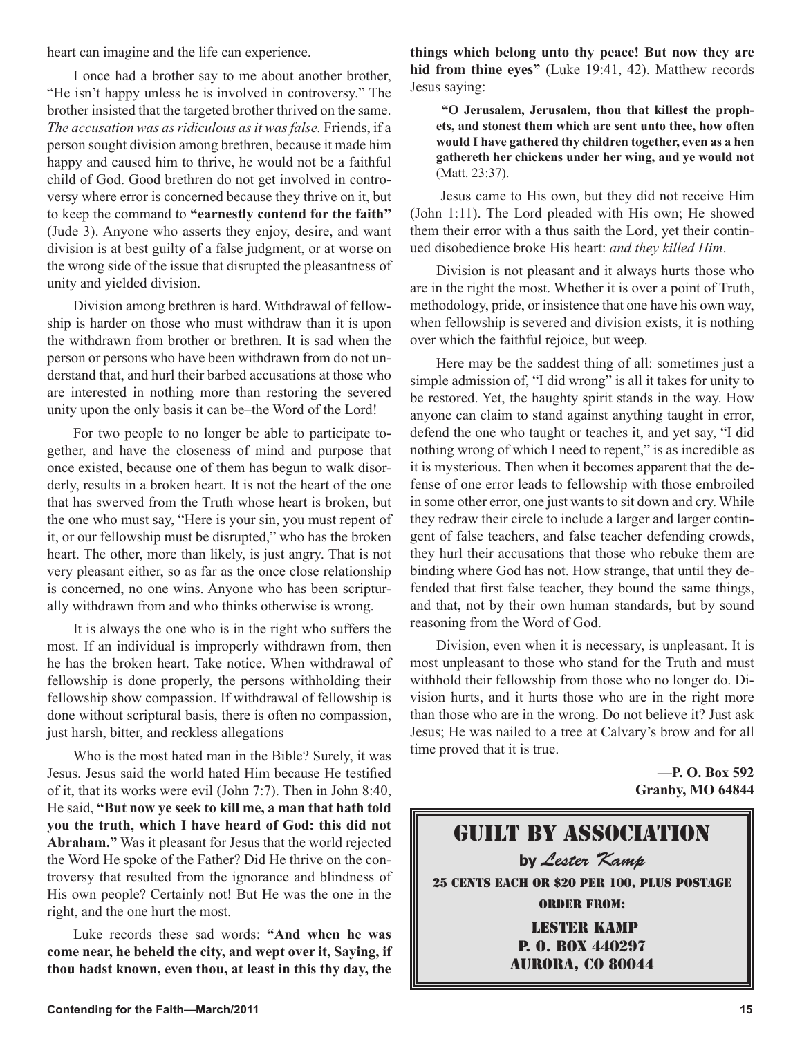heart can imagine and the life can experience.

I once had a brother say to me about another brother, "He isn't happy unless he is involved in controversy." The brother insisted that the targeted brother thrived on the same. *The accusation was as ridiculous as it was false.* Friends, if a person sought division among brethren, because it made him happy and caused him to thrive, he would not be a faithful child of God. Good brethren do not get involved in controversy where error is concerned because they thrive on it, but to keep the command to **"earnestly contend for the faith"** (Jude 3). Anyone who asserts they enjoy, desire, and want division is at best guilty of a false judgment, or at worse on the wrong side of the issue that disrupted the pleasantness of unity and yielded division.

Division among brethren is hard. Withdrawal of fellowship is harder on those who must withdraw than it is upon the withdrawn from brother or brethren. It is sad when the person or persons who have been withdrawn from do not understand that, and hurl their barbed accusations at those who are interested in nothing more than restoring the severed unity upon the only basis it can be–the Word of the Lord!

For two people to no longer be able to participate together, and have the closeness of mind and purpose that once existed, because one of them has begun to walk disorderly, results in a broken heart. It is not the heart of the one that has swerved from the Truth whose heart is broken, but the one who must say, "Here is your sin, you must repent of it, or our fellowship must be disrupted," who has the broken heart. The other, more than likely, is just angry. That is not very pleasant either, so as far as the once close relationship is concerned, no one wins. Anyone who has been scripturally withdrawn from and who thinks otherwise is wrong.

It is always the one who is in the right who suffers the most. If an individual is improperly withdrawn from, then he has the broken heart. Take notice. When withdrawal of fellowship is done properly, the persons withholding their fellowship show compassion. If withdrawal of fellowship is done without scriptural basis, there is often no compassion, just harsh, bitter, and reckless allegations

Who is the most hated man in the Bible? Surely, it was Jesus. Jesus said the world hated Him because He testified of it, that its works were evil (John 7:7). Then in John 8:40, He said, **"But now ye seek to kill me, a man that hath told you the truth, which I have heard of God: this did not Abraham."** Was it pleasant for Jesus that the world rejected the Word He spoke of the Father? Did He thrive on the controversy that resulted from the ignorance and blindness of His own people? Certainly not! But He was the one in the right, and the one hurt the most.

Luke records these sad words: **"And when he was come near, he beheld the city, and wept over it, Saying, if thou hadst known, even thou, at least in this thy day, the**  **things which belong unto thy peace! But now they are hid from thine eyes"** (Luke 19:41, 42). Matthew records Jesus saying:

**"O Jerusalem, Jerusalem, thou that killest the prophets, and stonest them which are sent unto thee, how often would I have gathered thy children together, even as a hen gathereth her chickens under her wing, and ye would not** (Matt. 23:37).

 Jesus came to His own, but they did not receive Him (John 1:11). The Lord pleaded with His own; He showed them their error with a thus saith the Lord, yet their continued disobedience broke His heart: *and they killed Him*.

Division is not pleasant and it always hurts those who are in the right the most. Whether it is over a point of Truth, methodology, pride, or insistence that one have his own way, when fellowship is severed and division exists, it is nothing over which the faithful rejoice, but weep.

Here may be the saddest thing of all: sometimes just a simple admission of, "I did wrong" is all it takes for unity to be restored. Yet, the haughty spirit stands in the way. How anyone can claim to stand against anything taught in error, defend the one who taught or teaches it, and yet say, "I did nothing wrong of which I need to repent," is as incredible as it is mysterious. Then when it becomes apparent that the defense of one error leads to fellowship with those embroiled in some other error, one just wants to sit down and cry. While they redraw their circle to include a larger and larger contingent of false teachers, and false teacher defending crowds, they hurl their accusations that those who rebuke them are binding where God has not. How strange, that until they defended that first false teacher, they bound the same things, and that, not by their own human standards, but by sound reasoning from the Word of God.

Division, even when it is necessary, is unpleasant. It is most unpleasant to those who stand for the Truth and must withhold their fellowship from those who no longer do. Division hurts, and it hurts those who are in the right more than those who are in the wrong. Do not believe it? Just ask Jesus; He was nailed to a tree at Calvary's brow and for all time proved that it is true.

> **—P. O. Box 592 Granby, MO 64844**